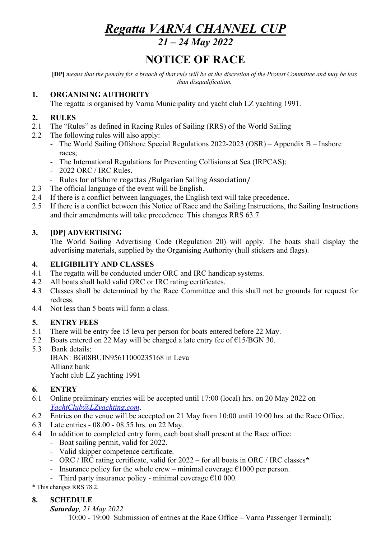# *Regatta VARNA CHANNEL CUP*

*21 – 24 May 2022*

## **NOTICE OF RACE**

**[DP]** *means that the penalty for a breach of that rule will be at the discretion of the Protest Committee and may be less than disqualification.*

#### **1. ORGANISING AUTHORITY**

The regatta is organised by Varna Municipality and yacht club LZ yachting 1991.

#### **2. RULES**

- 2.1 The "Rules" as defined in Racing Rules of Sailing (RRS) of the World Sailing
- 2.2 The following rules will also apply:
	- The World Sailing Offshore Special Regulations 2022-2023 (OSR) Appendix B Inshore races;
	- The International Regulations for Preventing Collisions at Sea (IRPCAS);
	- 2022 ORC / IRC Rules.
	- Rules for offshore regattas /Bulgarian Sailing Association/
- 2.3 The official language of the event will be English.
- 2.4 If there is a conflict between languages, the English text will take precedence.
- 2.5 If there is a conflict between this Notice of Race and the Sailing Instructions, the Sailing Instructions and their amendments will take precedence. This changes RRS 63.7.

## **3. [DP] ADVERTISING**

The World Sailing Advertising Code (Regulation 20) will apply. The boats shall display the advertising materials, supplied by the Organising Authority (hull stickers and flags).

#### **4. ELIGIBILITY AND CLASSES**

- 4.1 The regatta will be conducted under ORC and IRC handicap systems.
- 4.2 All boats shall hold valid ORC or IRC rating certificates.
- 4.3 Classes shall be determined by the Race Committee and this shall not be grounds for request for redress.
- 4.4 Not less than 5 boats will form a class.

## **5. ENTRY FEES**

- 5.1 There will be entry fee 15 leva per person for boats entered before 22 May.
- 5.2 Boats entered on 22 May will be charged a late entry fee of  $\epsilon$ 15/BGN 30.
- 5.3 Bank details: IBAN: BG08BUIN95611000235168 in Leva Allianz bank Yacht club LZ yachting 1991

## **6. ENTRY**

- 6.1 Online preliminary entries will be accepted until 17:00 (local) hrs. on 20 May 2022 on *YachtClub@LZyachting.com*.
- 6.2 Entries on the venue will be accepted on 21 May from 10:00 until 19:00 hrs. at the Race Office.
- 6.3 Late entries 08.00 08.55 hrs. on 22 May.
- 6.4 In addition to completed entry form, each boat shall present at the Race office:
	- Boat sailing permit, valid for 2022.
	- Valid skipper competence certificate.
	- ORC / IRC rating certificate, valid for 2022 for all boats in ORC / IRC classes**\***
	- Insurance policy for the whole crew minimal coverage  $\epsilon$ 1000 per person.
	- Third party insurance policy minimal coverage  $\epsilon$ 10 000.

\* This changes RRS 78.2.

## **8. SCHEDULE**

#### *Saturday, 21 May 2022*

10:00 - 19:00 Submission of entries at the Race Office – Varna Passenger Terminal);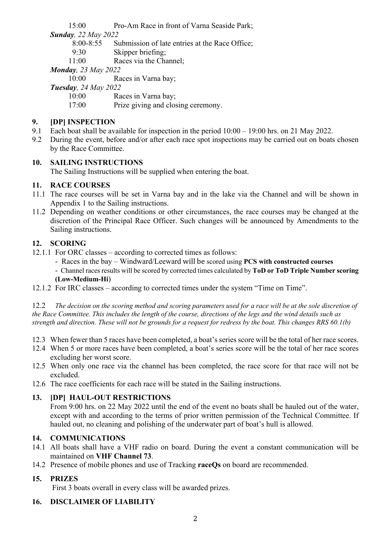15:00 Pro-Am Race in front of Varna Seaside Park;

*Sunday, 22 May 2022*

8:00-8:55 Submission of late entries at the Race Office;

9:30 Skipper briefing;

11:00 Races via the Channel;

*Monday, 23 May 2022*

10:00 Races in Varna bay;

*Tuesday, 24 May 2022*

10:00 Races in Varna bay;

17:00 Prize giving and closing ceremony.

## **9. [DP] INSPECTION**

- 9.1 Each boat shall be available for inspection in the period 10:00 19:00 hrs. on 21 May 2022.
- 9.2 During the event, before and/or after each race spot inspections may be carried out on boats chosen by the Race Committee.

## **10. SAILING INSTRUCTIONS**

The Sailing Instructions will be supplied when entering the boat.

## **11. RACE COURSES**

- 11.1 The race courses will be set in Varna bay and in the lake via the Channel and will be shown in Appendix 1 to the Sailing instructions.
- 11.2 Depending on weather conditions or other circumstances, the race courses may be changed at the discretion of the Principal Race Officer. Such changes will be announced by Amendments to the Sailing instructions.

## **12. SCORING**

- 12.1.1 For ORC classes according to corrected times as follows:
	- Races in the bay Windward/Leeward will be scored using **PCS with constructed courses**

- Channel races results will be scored by corrected times calculated by **ToD or ToD Triple Number scoring (Low-Medium-Hi**)

12.1.2 For IRC classes – according to corrected times under the system "Time on Time".

12.2 *The decision on the scoring method and scoring parameters used for a race will be at the sole discretion of the Race Committee. This includes the length of the course, directions of the legs and the wind details such as strength and direction. These will not be grounds for a request for redress by the boat. This changes RRS 60.1(b)* 

- 12.3 When fewer than 5 races have been completed, a boat's series score will be the total of her race scores.
- 12.4 When 5 or more races have been completed, a boat's series score will be the total of her race scores excluding her worst score.
- 12.5 When only one race via the channel has been completed, the race score for that race will not be excluded.
- 12.6 The race coefficients for each race will be stated in the Sailing instructions.

## **13. [DP] HAUL-OUT RESTRICTIONS**

From 9:00 hrs. on 22 May 2022 until the end of the event no boats shall be hauled out of the water, except with and according to the terms of prior written permission of the Technical Committee. If hauled out, no cleaning and polishing of the underwater part of boat's hull is allowed.

## **14. COMMUNICATIONS**

- 14.1 All boats shall have a VHF radio on board. During the event a constant communication will be maintained on **VHF Channel 73**.
- 14.2 Presence of mobile phones and use of Tracking **raceQs** on board are recommended.

## **15. PRIZES**

First 3 boats overall in every class will be awarded prizes.

## **16. DISCLAIMER OF LIABILITY**